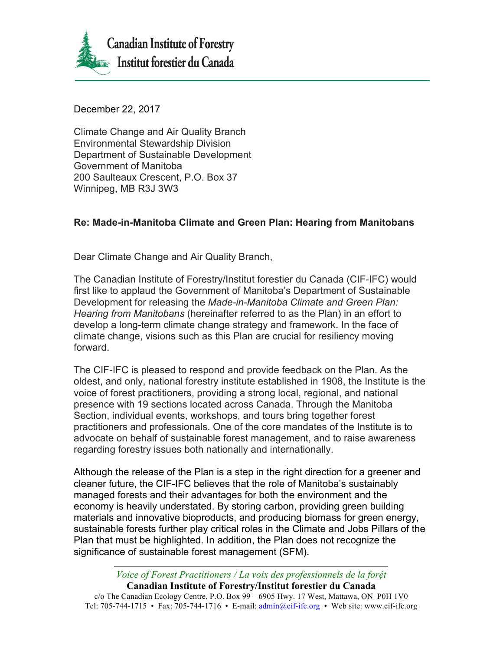

December 22, 2017

Climate Change and Air Quality Branch Environmental Stewardship Division Department of Sustainable Development Government of Manitoba 200 Saulteaux Crescent, P.O. Box 37 Winnipeg, MB R3J 3W3

## **Re: Made-in-Manitoba Climate and Green Plan: Hearing from Manitobans**

Dear Climate Change and Air Quality Branch,

The Canadian Institute of Forestry/Institut forestier du Canada (CIF-IFC) would first like to applaud the Government of Manitoba's Department of Sustainable Development for releasing the *Made-in-Manitoba Climate and Green Plan: Hearing from Manitobans* (hereinafter referred to as the Plan) in an effort to develop a long-term climate change strategy and framework. In the face of climate change, visions such as this Plan are crucial for resiliency moving forward.

The CIF-IFC is pleased to respond and provide feedback on the Plan. As the oldest, and only, national forestry institute established in 1908, the Institute is the voice of forest practitioners, providing a strong local, regional, and national presence with 19 sections located across Canada. Through the Manitoba Section, individual events, workshops, and tours bring together forest practitioners and professionals. One of the core mandates of the Institute is to advocate on behalf of sustainable forest management, and to raise awareness regarding forestry issues both nationally and internationally.

Although the release of the Plan is a step in the right direction for a greener and cleaner future, the CIF-IFC believes that the role of Manitoba's sustainably managed forests and their advantages for both the environment and the economy is heavily understated. By storing carbon, providing green building materials and innovative bioproducts, and producing biomass for green energy, sustainable forests further play critical roles in the Climate and Jobs Pillars of the Plan that must be highlighted. In addition, the Plan does not recognize the significance of sustainable forest management (SFM).

*Voice of Forest Practitioners / La voix des professionnels de la forệt* **Canadian Institute of Forestry/Institut forestier du Canada** c/o The Canadian Ecology Centre, P.O. Box 99 – 6905 Hwy. 17 West, Mattawa, ON P0H 1V0 Tel: 705-744-1715 • Fax: 705-744-1716 • E-mail: admin@cif-ifc.org • Web site: www.cif-ifc.org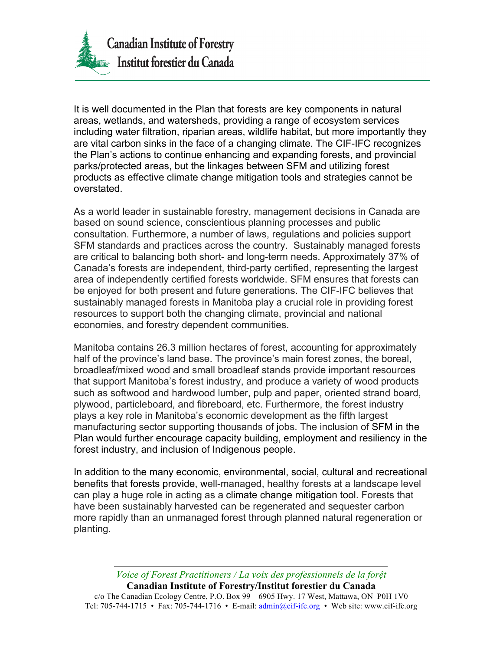

It is well documented in the Plan that forests are key components in natural areas, wetlands, and watersheds, providing a range of ecosystem services including water filtration, riparian areas, wildlife habitat, but more importantly they are vital carbon sinks in the face of a changing climate. The CIF-IFC recognizes the Plan's actions to continue enhancing and expanding forests, and provincial parks/protected areas, but the linkages between SFM and utilizing forest products as effective climate change mitigation tools and strategies cannot be overstated.

As a world leader in sustainable forestry, management decisions in Canada are based on sound science, conscientious planning processes and public consultation. Furthermore, a number of laws, regulations and policies support SFM standards and practices across the country. Sustainably managed forests are critical to balancing both short- and long-term needs. Approximately 37% of Canada's forests are independent, third-party certified, representing the largest area of independently certified forests worldwide. SFM ensures that forests can be enjoyed for both present and future generations. The CIF-IFC believes that sustainably managed forests in Manitoba play a crucial role in providing forest resources to support both the changing climate, provincial and national economies, and forestry dependent communities.

Manitoba contains 26.3 million hectares of forest, accounting for approximately half of the province's land base. The province's main forest zones, the boreal, broadleaf/mixed wood and small broadleaf stands provide important resources that support Manitoba's forest industry, and produce a variety of wood products such as softwood and hardwood lumber, pulp and paper, oriented strand board, plywood, particleboard, and fibreboard, etc. Furthermore, the forest industry plays a key role in Manitoba's economic development as the fifth largest manufacturing sector supporting thousands of jobs. The inclusion of SFM in the Plan would further encourage capacity building, employment and resiliency in the forest industry, and inclusion of Indigenous people.

In addition to the many economic, environmental, social, cultural and recreational benefits that forests provide, well-managed, healthy forests at a landscape level can play a huge role in acting as a climate change mitigation tool. Forests that have been sustainably harvested can be regenerated and sequester carbon more rapidly than an unmanaged forest through planned natural regeneration or planting.

*Voice of Forest Practitioners / La voix des professionnels de la forệt* **Canadian Institute of Forestry/Institut forestier du Canada** c/o The Canadian Ecology Centre, P.O. Box 99 – 6905 Hwy. 17 West, Mattawa, ON P0H 1V0 Tel: 705-744-1715 • Fax: 705-744-1716 • E-mail: admin@cif-ifc.org • Web site: www.cif-ifc.org